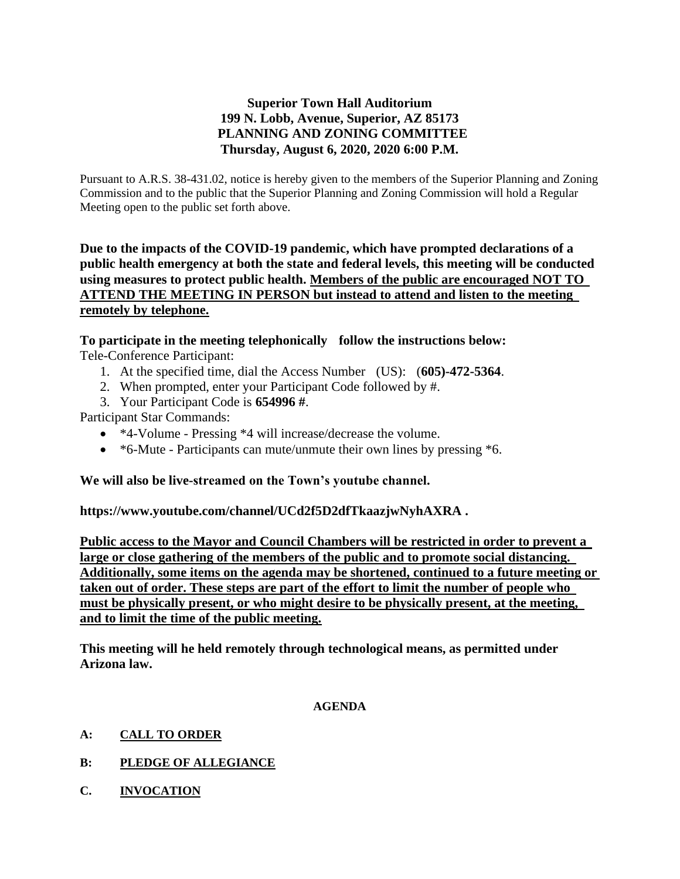## **Superior Town Hall Auditorium 199 N. Lobb, Avenue, Superior, AZ 85173 PLANNING AND ZONING COMMITTEE Thursday, August 6, 2020, 2020 6:00 P.M.**

Pursuant to A.R.S. 38-431.02, notice is hereby given to the members of the Superior Planning and Zoning Commission and to the public that the Superior Planning and Zoning Commission will hold a Regular Meeting open to the public set forth above.

**Due to the impacts of the COVID-19 pandemic, which have prompted declarations of a public health emergency at both the state and federal levels, this meeting will be conducted using measures to protect public health. Members of the public are encouraged NOT TO ATTEND THE MEETING IN PERSON but instead to attend and listen to the meeting remotely by telephone.**

# **To participate in the meeting telephonically follow the instructions below:**

Tele-Conference Participant:

- 1. At the specified time, dial the Access Number (US): (**605)-472-5364**.
- 2. When prompted, enter your Participant Code followed by #.
- 3. Your Participant Code is **654996 #**.

Participant Star Commands:

- \*4-Volume Pressing \*4 will increase/decrease the volume.
- \*6-Mute Participants can mute/unmute their own lines by pressing \*6.

## **We will also be live-streamed on the Town's youtube channel.**

**https://www.youtube.com/channel/UCd2f5D2dfTkaazjwNyhAXRA .** 

**Public access to the Mayor and Council Chambers will be restricted in order to prevent a large or close gathering of the members of the public and to promote social distancing. Additionally, some items on the agenda may be shortened, continued to a future meeting or taken out of order. These steps are part of the effort to limit the number of people who must be physically present, or who might desire to be physically present, at the meeting, and to limit the time of the public meeting.**

**This meeting will he held remotely through technological means, as permitted under Arizona law.**

#### **AGENDA**

- **A: CALL TO ORDER**
- **B: PLEDGE OF ALLEGIANCE**
- **C. INVOCATION**